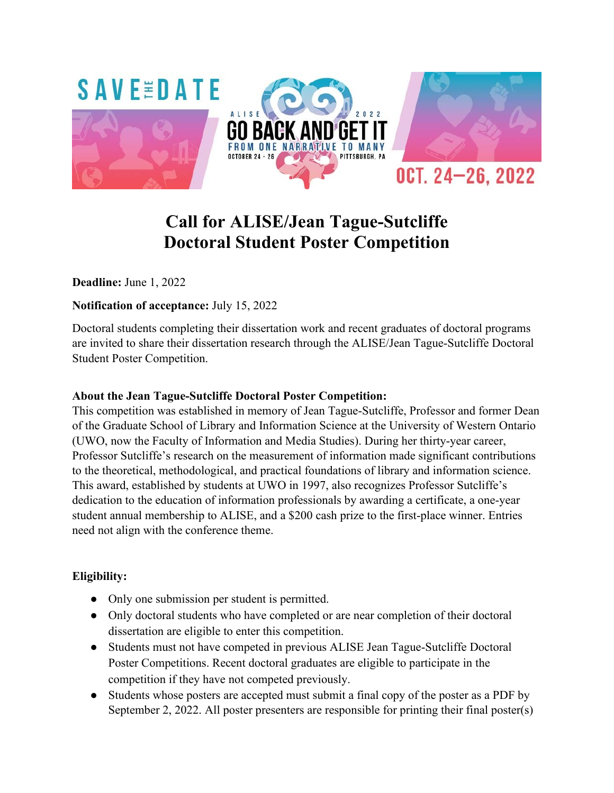

# **Call for ALISE/Jean Tague-Sutcliffe Doctoral Student Poster Competition**

**Deadline:** June 1, 2022

#### **Notification of acceptance:** July 15, 2022

Doctoral students completing their dissertation work and recent graduates of doctoral programs are invited to share their dissertation research through the ALISE/Jean Tague-Sutcliffe Doctoral Student Poster Competition.

#### **About the Jean Tague-Sutcliffe Doctoral Poster Competition:**

This competition was established in memory of Jean Tague-Sutcliffe, Professor and former Dean of the Graduate School of Library and Information Science at the University of Western Ontario (UWO, now the Faculty of Information and Media Studies). During her thirty-year career, Professor Sutcliffe's research on the measurement of information made significant contributions to the theoretical, methodological, and practical foundations of library and information science. This award, established by students at UWO in 1997, also recognizes Professor Sutcliffe's dedication to the education of information professionals by awarding a certificate, a one-year student annual membership to ALISE, and a \$200 cash prize to the first-place winner. Entries need not align with the conference theme.

### **Eligibility:**

- Only one submission per student is permitted.
- Only doctoral students who have completed or are near completion of their doctoral dissertation are eligible to enter this competition.
- Students must not have competed in previous ALISE Jean Tague-Sutcliffe Doctoral Poster Competitions. Recent doctoral graduates are eligible to participate in the competition if they have not competed previously.
- Students whose posters are accepted must submit a final copy of the poster as a PDF by September 2, 2022. All poster presenters are responsible for printing their final poster(s)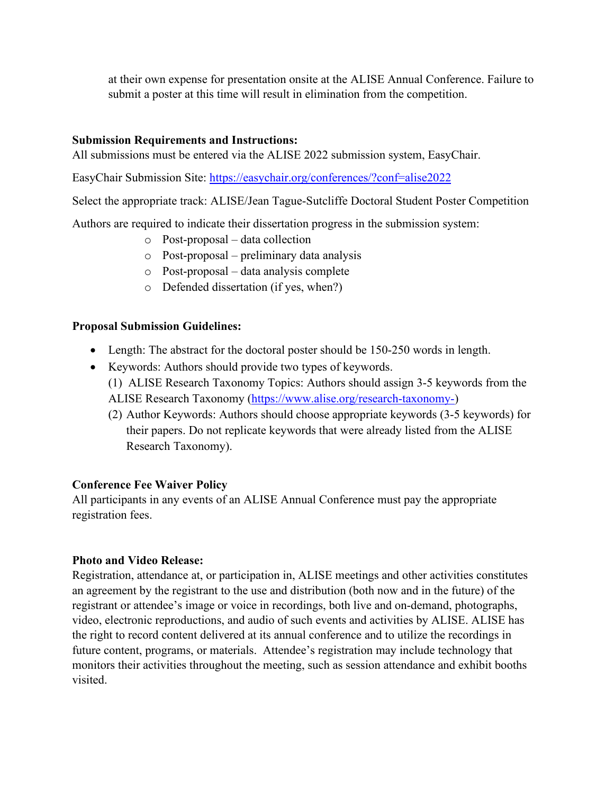at their own expense for presentation onsite at the ALISE Annual Conference. Failure to submit a poster at this time will result in elimination from the competition.

#### **Submission Requirements and Instructions:**

All submissions must be entered via the ALISE 2022 submission system, EasyChair.

EasyChair Submission Site:<https://easychair.org/conferences/?conf=alise2022>

Select the appropriate track: ALISE/Jean Tague-Sutcliffe Doctoral Student Poster Competition

Authors are required to indicate their dissertation progress in the submission system:

- o Post-proposal data collection
- o Post-proposal preliminary data analysis
- o Post-proposal data analysis complete
- o Defended dissertation (if yes, when?)

#### **Proposal Submission Guidelines:**

- Length: The abstract for the doctoral poster should be 150-250 words in length.
- Keywords: Authors should provide two types of keywords. (1) ALISE Research Taxonomy Topics: Authors should assign 3-5 keywords from the ALISE Research Taxonomy [\(https://www.alise.org/research-taxonomy-\)](https://www.alise.org/research-taxonomy-)
	- (2) Author Keywords: Authors should choose appropriate keywords (3-5 keywords) for their papers. Do not replicate keywords that were already listed from the ALISE Research Taxonomy).

#### **Conference Fee Waiver Policy**

All participants in any events of an ALISE Annual Conference must pay the appropriate registration fees.

#### **Photo and Video Release:**

Registration, attendance at, or participation in, ALISE meetings and other activities constitutes an agreement by the registrant to the use and distribution (both now and in the future) of the registrant or attendee's image or voice in recordings, both live and on-demand, photographs, video, electronic reproductions, and audio of such events and activities by ALISE. ALISE has the right to record content delivered at its annual conference and to utilize the recordings in future content, programs, or materials. Attendee's registration may include technology that monitors their activities throughout the meeting, such as session attendance and exhibit booths visited.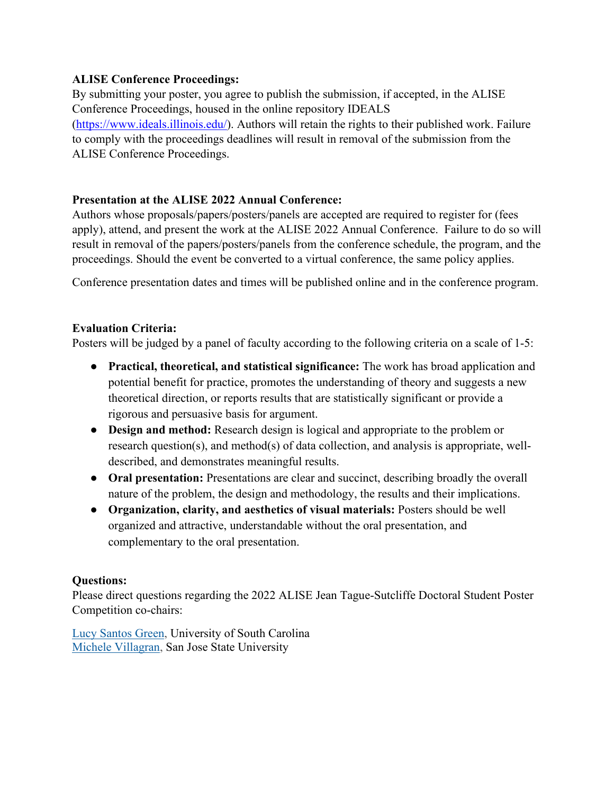#### **ALISE Conference Proceedings:**

By submitting your poster, you agree to publish the submission, if accepted, in the ALISE Conference Proceedings, housed in the online repository IDEALS [\(https://www.ideals.illinois.edu/\)](https://www.ideals.illinois.edu/). Authors will retain the rights to their published work. Failure to comply with the proceedings deadlines will result in removal of the submission from the ALISE Conference Proceedings.

### **Presentation at the ALISE 2022 Annual Conference:**

Authors whose proposals/papers/posters/panels are accepted are required to register for (fees apply), attend, and present the work at the ALISE 2022 Annual Conference. Failure to do so will result in removal of the papers/posters/panels from the conference schedule, the program, and the proceedings. Should the event be converted to a virtual conference, the same policy applies.

Conference presentation dates and times will be published online and in the conference program.

### **Evaluation Criteria:**

Posters will be judged by a panel of faculty according to the following criteria on a scale of 1-5:

- **Practical, theoretical, and statistical significance:** The work has broad application and potential benefit for practice, promotes the understanding of theory and suggests a new theoretical direction, or reports results that are statistically significant or provide a rigorous and persuasive basis for argument.
- **Design and method:** Research design is logical and appropriate to the problem or research question(s), and method(s) of data collection, and analysis is appropriate, welldescribed, and demonstrates meaningful results.
- **Oral presentation:** Presentations are clear and succinct, describing broadly the overall nature of the problem, the design and methodology, the results and their implications.
- **Organization, clarity, and aesthetics of visual materials:** Posters should be well organized and attractive, understandable without the oral presentation, and complementary to the oral presentation.

#### **Questions:**

Please direct questions regarding the 2022 ALISE Jean Tague-Sutcliffe Doctoral Student Poster Competition co-chairs:

Lucy [Santos](mailto:lgreen2@mailbox.sc.edu) Green, University of South Carolina Michele [Villagran,](mailto:michele.villagran@sjsu.edu) San Jose State University